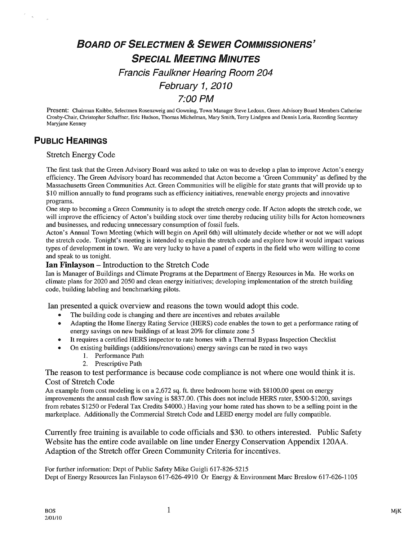# BOARD OF SELECTMEN & SEWER COMMISSIONERS' SPECIAL MEETING MINUTES Francis Faulkner Hearing Room 204 February 1, 2010 7:00 PM

Present: Chairman Knibbe, Selectmen Rosenzweig and Gowning, Town Manager Steve Ledoux, Green Advisory Board Members Catherine Crosby-Chair, Christopher Schaffner, Eric Hudson, Thomas Michelman, Mary Smith, Terry Lindgren and Dennis Loria, Recording Secretary Maryjane Kenney

## PUBLIC HEARINGS

 $\bar{c}$ 

### Stretch Energy Code

The first task that the Green Advisory Board was asked to take on was to develop a plan to improve Acton's energy efficiency. The Green Advisory board has recommended that Acton become a 'Green Community' as defined by the Massachusetts Green Communities Act. Green Communities will be eligible for state grants that will provide up to \$10 million annually to fund programs such as efficiency initiatives, renewable energy projects and innovative programs.

One step to becoming a Green Community is to adopt the stretch energy code. If Acton adopts the stretch code, we will improve the efficiency of Acton's building stock over time thereby reducing utility bills for Acton homeowners and businesses, and reducing unnecessary consumption of fossil fuels.

Acton's Annual Town Meeting (which will begin on April 6th) will ultimately decide whether or not we will adopt the stretch code. Tonight's meeting is intended to explain the stretch code and explore how it would impact various types of development in town. We are very lucky to have a panel of experts in the field who were willing to come and speak to us tonight.

#### Ian Finlayson — Introduction to the Stretch Code

Ian is Manager of Buildings and Climate Programs at the Department of Energy Resources in Ma. He works on climate plans for 2020 and 2050 and clean energy initiatives; developing implementation of the stretch building code, building labeling and benchmarking pilots.

Ian presented a quick overview and reasons the town would adopt this code.

- The building code is changing and there are incentives and rebates available
- Adapting the Home Energy Rating Service (HERS) code enables the town to get a performance rating of energy savings on new buildings of at least 20% for climate zone 5
- It requires a certified HERS inspector to rate homes with a Thermal Bypass Inspection Checklist
- On existing buildings (additions/renovations) energy savings can be rated in two ways
	- I. Performance Path
	- 2. Prescriptive Path

The reason to test performance is because code compliance is not where one would think it is. Cost of Stretch Code

An example from cost modeling is on a 2,672 sq. ft. three bedroom home with \$8100.00 spent on energy improvements the annual cash flow saving is \$837.00. (This does not include HERS rater, \$500-\$1200, savings from rebates \$1250 or Federal Tax Credits \$4000.) Having your home rated has shown to be a selling point in the marketplace. Additionally the Commercial Stretch Code and LEED energy model are fully compatible.

Currently free training is available to code officials and \$30. to others interested. Public Safety Website has the entire code available on line under Energy Conservation Appendix 12OAA. Adaption of the Stretch offer Green Community Criteria for incentives.

For further information: Dept of Public Safety Mike Guigli 617-826-5215 Dept of Energy Resources Ian Finlayson 617-626-4910 Or Energy & Environment Marc Breslow 617-626-1105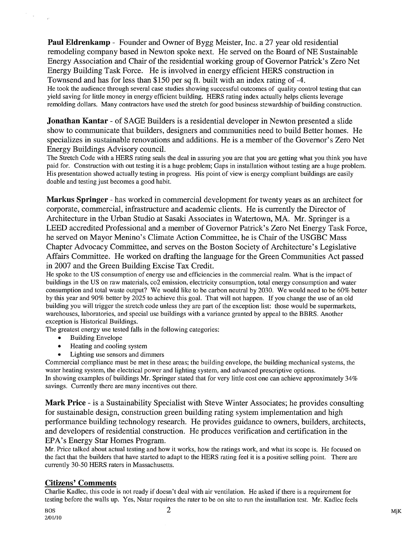Paul Eldrenkamp - Founder and Owner of Bygg Meister, Inc. a 27 year old residential remodeling company based in Newton spoke next. He served on the Board of NE Sustainable Energy Association and Chair of the residential working group of Governor Patrick's Zero Net Energy Building Task Force. He is involved in energy efficient HERS construction in Townsend and has for less than \$150 per sq ft. built with an index rating of -4. He took the audience through several case studies showing successful outcomes of quality control testing that can

yield saving for little money in energy efficient building. HERS rating index actually helps clients leverage remolding dollars. Many contractors have used the stretch for good business stewardship of building construction.

**Jonathan Kantar** - of SAGE Builders is a residential developer in Newton presented a slide show to communicate that builders, designers and communities need to build Better homes. He specializes in sustainable renovations and additions. He is a member of the Governor's Zero Net Energy Buildings Advisory council.

The Stretch Code with a HERS rating seals the deal in assuring you are that you are getting what you think you have paid for. Construction with out testing it is a huge problem; Gaps in installation without testing are a huge problem. His presentation showed actually testing in progress. His point of view is energy compliant buildings are easily doable and testing just becomes a good habit.

Markus Springer -has worked in commercial development for twenty years as an architect for corporate, commercial, infrastructure and academic clients. He is currently the Director of Architecture in the Urban Studio at Sasaki Associates in Watertown, MA. Mr. Springer is a LEED accredited Professional and a member of Governor Patrick's Zero Net Energy Task Force, he served on Mayor Menino's Climate Action Committee, he is Chair of the USGBC Mass Chapter Advocacy Committee, and serves on the Boston Society of Architecture's Legislative Affairs Committee. He worked on drafting the language for the Green Communities Act passed in 2007 and the Green Building Excise Tax Credit.

He spoke to the US consumption of energy use and efficiencies in the commercial realm. What is the impact of buildings in the US on raw materials, co2 emission, electricity consumption, total energy consumption and water consumption and total waste output? We would like to be carbon neutral by 2030. We would need to be 60% better by this year and 90% better by 2025 to achieve this goal. That will not happen. If you change the use of an old building you will trigger the stretch code unless they are part of the exception list: those would be supermarkets, warehouses, laboratories, and special use buildings with a variance granted by appeal to the BBRS. Another exception is Historical Buildings.

The greatest energy use tested falls in the following categories:

- Building Envelope
- Heating and cooling system
- Lighting use sensors and dimmers

Commercial compliance must be met in these areas; the building envelope, the building mechanical systems, the water heating system, the electrical power and lighting system, and advanced prescriptive options. In showing examples of buildings Mr. Springer stated that for very little cost one can achieve approximately 34% savings. Currently there are many incentives out there.

Mark Price - is a Sustainability Specialist with Steve Winter Associates; he provides consulting for sustainable design, construction green building rating system implementation and high performance building technology research. He provides guidance to owners, builders, architects, and developers of residential construction. He produces verification and certification in the EPA's Energy Star Homes Program.

Mr. Price talked about actual testing and how it works, how the ratings work, and what its scope is. He focused on the fact that the builders that have started to adapt to the HERS rating feel it is a positive selling point. There are currently 30-50 HERS raters in Massachusetts.

### Citizens' Comments

Charlie Kadlec, this code is not ready if doesn't deal with air ventilation. He asked if there is a requirement for testing before the walls up. Yes, Nstar requires the rater to be on site to run the installation test. Mr. Kadlec feels